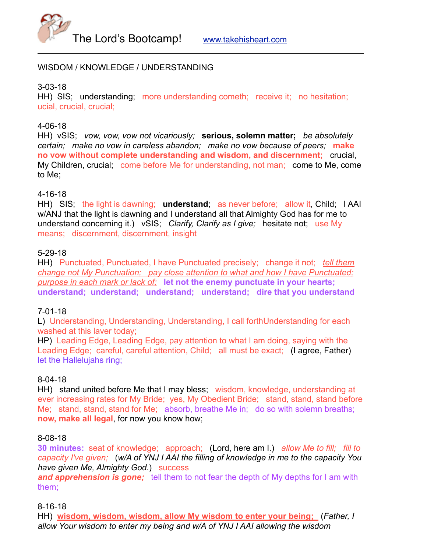

### WISDOM / KNOWLEDGE / UNDERSTANDING

3-03-18

HH) SIS; understanding; more understanding cometh; receive it; no hesitation; ucial, crucial, crucial;

### 4-06-18

HH) vSIS; *vow, vow, vow not vicariously;* **serious, solemn matter;** *be absolutely certain; make no vow in careless abandon; make no vow because of peers;* **make no vow without complete understanding and wisdom, and discernment;** crucial, My Children, crucial; come before Me for understanding, not man; come to Me, come to Me;

## 4-16-18

HH) SIS; the light is dawning; **understand**; as never before; allow it, Child; I AAI w/ANJ that the light is dawning and I understand all that Almighty God has for me to understand concerning it.) vSIS; *Clarify, Clarify as I give;* hesitate not; use My means; discernment, discernment, insight

## 5-29-18

HH) Punctuated, Punctuated, I have Punctuated precisely; change it not; *tell them change not My Punctuation; pay close attention to what and how I have Punctuated; purpose in each mark or lack of;* **let not the enemy punctuate in your hearts; understand; understand; understand; understand; dire that you understand**

### 7-01-18

L) Understanding, Understanding, Understanding, I call forthUnderstanding for each washed at this laver today;

HP) Leading Edge, Leading Edge, pay attention to what I am doing, saying with the Leading Edge; careful, careful attention, Child; all must be exact; (I agree, Father) let the Hallelujahs ring;

### 8-04-18

HH) stand united before Me that I may bless; wisdom, knowledge, understanding at ever increasing rates for My Bride; yes, My Obedient Bride; stand, stand, stand before Me; stand, stand, stand for Me; absorb, breathe Me in; do so with solemn breaths; **now, make all legal**, for now you know how;

### 8-08-18

**30 minutes:** seat of knowledge; approach; (Lord, here am I.) *allow Me to fill; fill to capacity I've given;* (*w/A of YNJ I AAI the filling of knowledge in me to the capacity You have given Me, Almighty God.*) success

*and apprehension is gone;* tell them to not fear the depth of My depths for I am with them;

8-16-18

HH) **wisdom, wisdom, wisdom, allow My wisdom to enter your being;** (*Father, I allow Your wisdom to enter my being and w/A of YNJ I AAI allowing the wisdom*